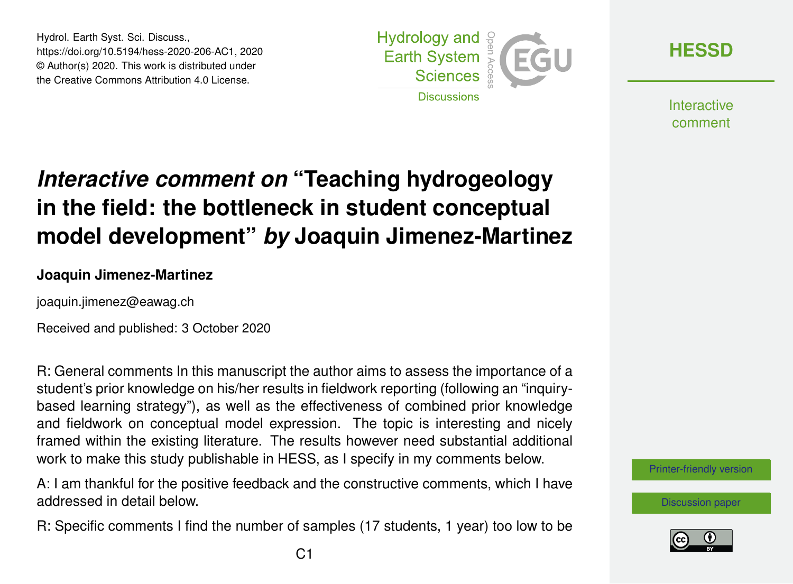Hydrol. Earth Syst. Sci. Discuss., https://doi.org/10.5194/hess-2020-206-AC1, 2020 © Author(s) 2020. This work is distributed under the Creative Commons Attribution 4.0 License.



**[HESSD](https://hess.copernicus.org/preprints/)**

**Interactive** comment

# *Interactive comment on* **"Teaching hydrogeology in the field: the bottleneck in student conceptual model development"** *by* **Joaquin Jimenez-Martinez**

#### **Joaquin Jimenez-Martinez**

joaquin.jimenez@eawag.ch

Received and published: 3 October 2020

R: General comments In this manuscript the author aims to assess the importance of a student's prior knowledge on his/her results in fieldwork reporting (following an "inquirybased learning strategy"), as well as the effectiveness of combined prior knowledge and fieldwork on conceptual model expression. The topic is interesting and nicely framed within the existing literature. The results however need substantial additional work to make this study publishable in HESS, as I specify in my comments below.

A: I am thankful for the positive feedback and the constructive comments, which I have addressed in detail below.

R: Specific comments I find the number of samples (17 students, 1 year) too low to be

[Printer-friendly version](https://hess.copernicus.org/preprints/hess-2020-206/hess-2020-206-AC1-print.pdf)

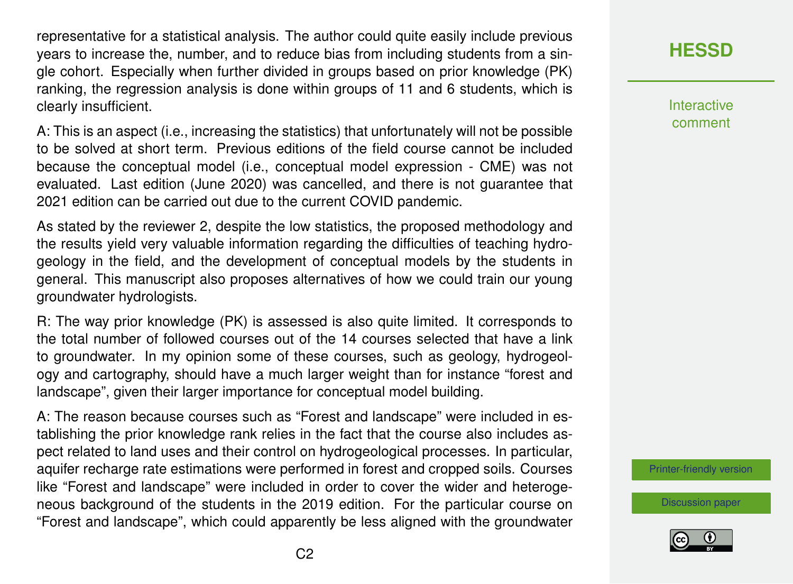representative for a statistical analysis. The author could quite easily include previous years to increase the, number, and to reduce bias from including students from a single cohort. Especially when further divided in groups based on prior knowledge (PK) ranking, the regression analysis is done within groups of 11 and 6 students, which is clearly insufficient.

A: This is an aspect (i.e., increasing the statistics) that unfortunately will not be possible to be solved at short term. Previous editions of the field course cannot be included because the conceptual model (i.e., conceptual model expression - CME) was not evaluated. Last edition (June 2020) was cancelled, and there is not guarantee that 2021 edition can be carried out due to the current COVID pandemic.

As stated by the reviewer 2, despite the low statistics, the proposed methodology and the results yield very valuable information regarding the difficulties of teaching hydrogeology in the field, and the development of conceptual models by the students in general. This manuscript also proposes alternatives of how we could train our young groundwater hydrologists.

R: The way prior knowledge (PK) is assessed is also quite limited. It corresponds to the total number of followed courses out of the 14 courses selected that have a link to groundwater. In my opinion some of these courses, such as geology, hydrogeology and cartography, should have a much larger weight than for instance "forest and landscape", given their larger importance for conceptual model building.

A: The reason because courses such as "Forest and landscape" were included in establishing the prior knowledge rank relies in the fact that the course also includes aspect related to land uses and their control on hydrogeological processes. In particular, aquifer recharge rate estimations were performed in forest and cropped soils. Courses like "Forest and landscape" were included in order to cover the wider and heterogeneous background of the students in the 2019 edition. For the particular course on "Forest and landscape", which could apparently be less aligned with the groundwater

### **[HESSD](https://hess.copernicus.org/preprints/)**

Interactive comment

[Printer-friendly version](https://hess.copernicus.org/preprints/hess-2020-206/hess-2020-206-AC1-print.pdf)

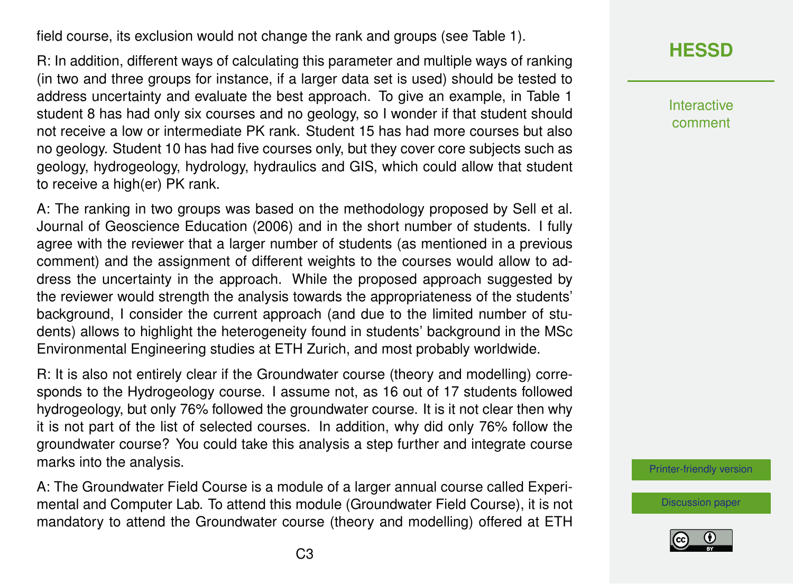field course, its exclusion would not change the rank and groups (see Table 1).

R: In addition, different ways of calculating this parameter and multiple ways of ranking (in two and three groups for instance, if a larger data set is used) should be tested to address uncertainty and evaluate the best approach. To give an example, in Table 1 student 8 has had only six courses and no geology, so I wonder if that student should not receive a low or intermediate PK rank. Student 15 has had more courses but also no geology. Student 10 has had five courses only, but they cover core subjects such as geology, hydrogeology, hydrology, hydraulics and GIS, which could allow that student to receive a high(er) PK rank.

A: The ranking in two groups was based on the methodology proposed by Sell et al. Journal of Geoscience Education (2006) and in the short number of students. I fully agree with the reviewer that a larger number of students (as mentioned in a previous comment) and the assignment of different weights to the courses would allow to address the uncertainty in the approach. While the proposed approach suggested by the reviewer would strength the analysis towards the appropriateness of the students' background, I consider the current approach (and due to the limited number of students) allows to highlight the heterogeneity found in students' background in the MSc Environmental Engineering studies at ETH Zurich, and most probably worldwide.

R: It is also not entirely clear if the Groundwater course (theory and modelling) corresponds to the Hydrogeology course. I assume not, as 16 out of 17 students followed hydrogeology, but only 76% followed the groundwater course. It is it not clear then why it is not part of the list of selected courses. In addition, why did only 76% follow the groundwater course? You could take this analysis a step further and integrate course marks into the analysis.

A: The Groundwater Field Course is a module of a larger annual course called Experimental and Computer Lab. To attend this module (Groundwater Field Course), it is not mandatory to attend the Groundwater course (theory and modelling) offered at ETH



Interactive comment

[Printer-friendly version](https://hess.copernicus.org/preprints/hess-2020-206/hess-2020-206-AC1-print.pdf)

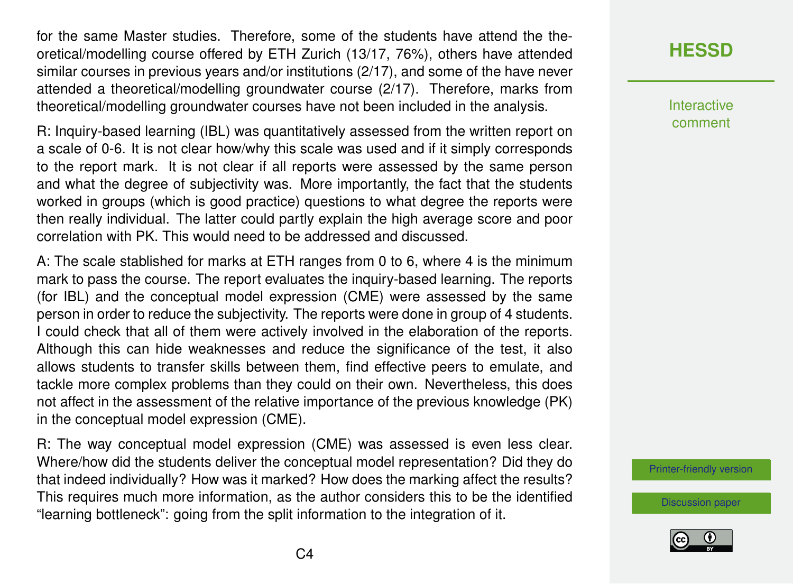for the same Master studies. Therefore, some of the students have attend the theoretical/modelling course offered by ETH Zurich (13/17, 76%), others have attended similar courses in previous years and/or institutions (2/17), and some of the have never attended a theoretical/modelling groundwater course (2/17). Therefore, marks from theoretical/modelling groundwater courses have not been included in the analysis.

R: Inquiry-based learning (IBL) was quantitatively assessed from the written report on a scale of 0-6. It is not clear how/why this scale was used and if it simply corresponds to the report mark. It is not clear if all reports were assessed by the same person and what the degree of subjectivity was. More importantly, the fact that the students worked in groups (which is good practice) questions to what degree the reports were then really individual. The latter could partly explain the high average score and poor correlation with PK. This would need to be addressed and discussed.

A: The scale stablished for marks at ETH ranges from 0 to 6, where 4 is the minimum mark to pass the course. The report evaluates the inquiry-based learning. The reports (for IBL) and the conceptual model expression (CME) were assessed by the same person in order to reduce the subjectivity. The reports were done in group of 4 students. I could check that all of them were actively involved in the elaboration of the reports. Although this can hide weaknesses and reduce the significance of the test, it also allows students to transfer skills between them, find effective peers to emulate, and tackle more complex problems than they could on their own. Nevertheless, this does not affect in the assessment of the relative importance of the previous knowledge (PK) in the conceptual model expression (CME).

R: The way conceptual model expression (CME) was assessed is even less clear. Where/how did the students deliver the conceptual model representation? Did they do that indeed individually? How was it marked? How does the marking affect the results? This requires much more information, as the author considers this to be the identified "learning bottleneck": going from the split information to the integration of it.

## **[HESSD](https://hess.copernicus.org/preprints/)**

**Interactive** comment

[Printer-friendly version](https://hess.copernicus.org/preprints/hess-2020-206/hess-2020-206-AC1-print.pdf)

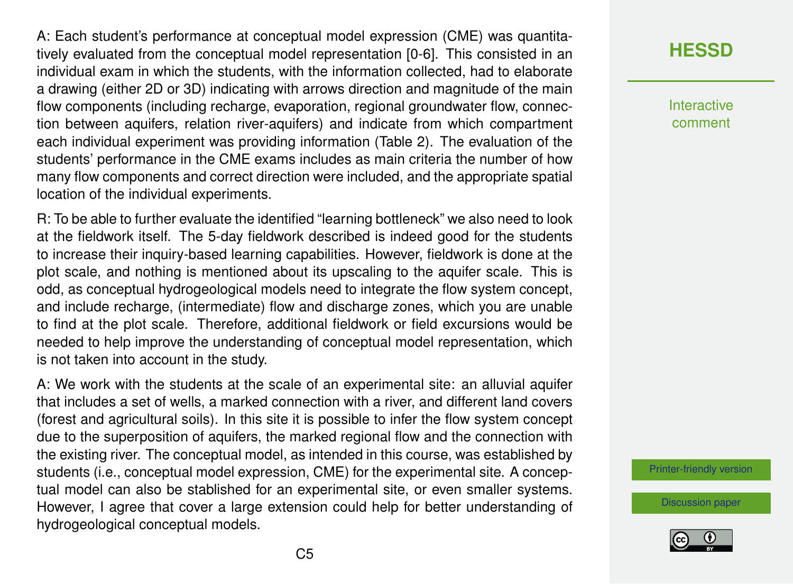A: Each student's performance at conceptual model expression (CME) was quantitatively evaluated from the conceptual model representation [0-6]. This consisted in an individual exam in which the students, with the information collected, had to elaborate a drawing (either 2D or 3D) indicating with arrows direction and magnitude of the main flow components (including recharge, evaporation, regional groundwater flow, connection between aquifers, relation river-aquifers) and indicate from which compartment each individual experiment was providing information (Table 2). The evaluation of the students' performance in the CME exams includes as main criteria the number of how many flow components and correct direction were included, and the appropriate spatial location of the individual experiments.

R: To be able to further evaluate the identified "learning bottleneck" we also need to look at the fieldwork itself. The 5-day fieldwork described is indeed good for the students to increase their inquiry-based learning capabilities. However, fieldwork is done at the plot scale, and nothing is mentioned about its upscaling to the aquifer scale. This is odd, as conceptual hydrogeological models need to integrate the flow system concept, and include recharge, (intermediate) flow and discharge zones, which you are unable to find at the plot scale. Therefore, additional fieldwork or field excursions would be needed to help improve the understanding of conceptual model representation, which is not taken into account in the study.

A: We work with the students at the scale of an experimental site: an alluvial aquifer that includes a set of wells, a marked connection with a river, and different land covers (forest and agricultural soils). In this site it is possible to infer the flow system concept due to the superposition of aquifers, the marked regional flow and the connection with the existing river. The conceptual model, as intended in this course, was established by students (i.e., conceptual model expression, CME) for the experimental site. A conceptual model can also be stablished for an experimental site, or even smaller systems. However, I agree that cover a large extension could help for better understanding of hydrogeological conceptual models.

# **[HESSD](https://hess.copernicus.org/preprints/)**

Interactive comment

[Printer-friendly version](https://hess.copernicus.org/preprints/hess-2020-206/hess-2020-206-AC1-print.pdf)

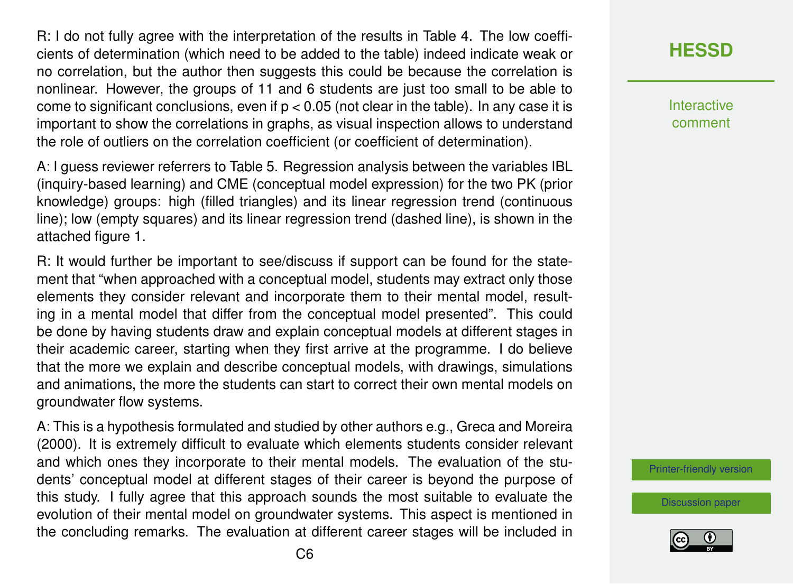R: I do not fully agree with the interpretation of the results in Table 4. The low coefficients of determination (which need to be added to the table) indeed indicate weak or no correlation, but the author then suggests this could be because the correlation is nonlinear. However, the groups of 11 and 6 students are just too small to be able to come to significant conclusions, even if  $p < 0.05$  (not clear in the table). In any case it is important to show the correlations in graphs, as visual inspection allows to understand the role of outliers on the correlation coefficient (or coefficient of determination).

A: I guess reviewer referrers to Table 5. Regression analysis between the variables IBL (inquiry-based learning) and CME (conceptual model expression) for the two PK (prior knowledge) groups: high (filled triangles) and its linear regression trend (continuous line); low (empty squares) and its linear regression trend (dashed line), is shown in the attached figure 1.

R: It would further be important to see/discuss if support can be found for the statement that "when approached with a conceptual model, students may extract only those elements they consider relevant and incorporate them to their mental model, resulting in a mental model that differ from the conceptual model presented". This could be done by having students draw and explain conceptual models at different stages in their academic career, starting when they first arrive at the programme. I do believe that the more we explain and describe conceptual models, with drawings, simulations and animations, the more the students can start to correct their own mental models on groundwater flow systems.

A: This is a hypothesis formulated and studied by other authors e.g., Greca and Moreira (2000). It is extremely difficult to evaluate which elements students consider relevant and which ones they incorporate to their mental models. The evaluation of the students' conceptual model at different stages of their career is beyond the purpose of this study. I fully agree that this approach sounds the most suitable to evaluate the evolution of their mental model on groundwater systems. This aspect is mentioned in the concluding remarks. The evaluation at different career stages will be included in

#### **[HESSD](https://hess.copernicus.org/preprints/)**

Interactive comment

[Printer-friendly version](https://hess.copernicus.org/preprints/hess-2020-206/hess-2020-206-AC1-print.pdf)

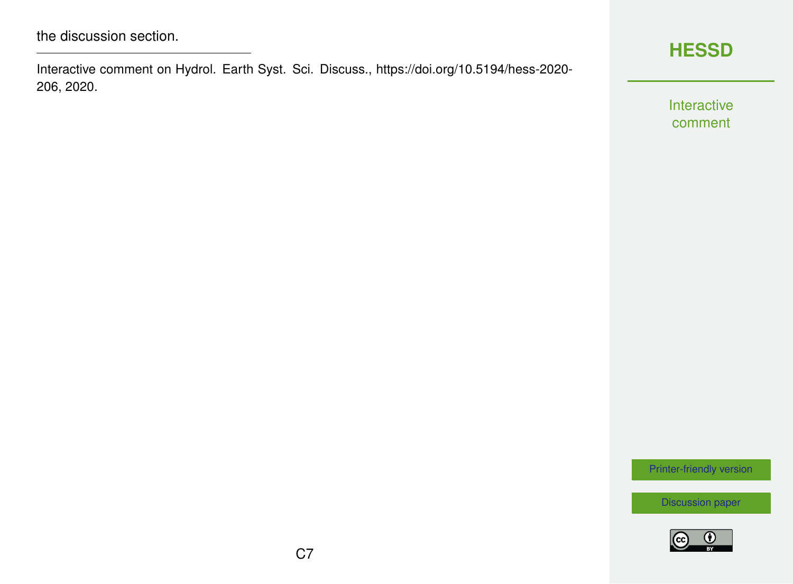Interactive comment on Hydrol. Earth Syst. Sci. Discuss., https://doi.org/10.5194/hess-2020- 206, 2020.



Interactive comment

[Printer-friendly version](https://hess.copernicus.org/preprints/hess-2020-206/hess-2020-206-AC1-print.pdf)